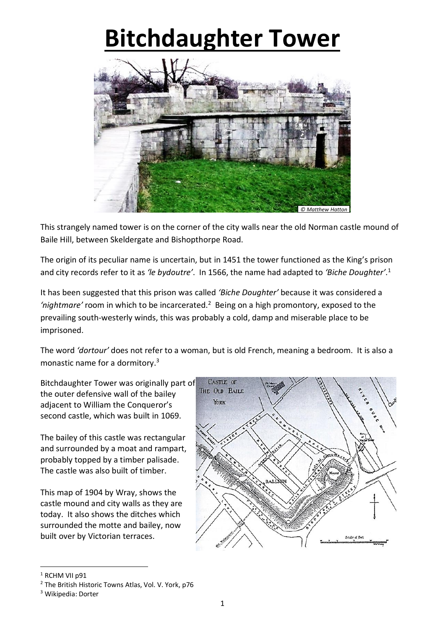## **Bitchdaughter Tower**



This strangely named tower is on the corner of the city walls near the old Norman castle mound of Baile Hill, between Skeldergate and Bishopthorpe Road.

The origin of its peculiar name is uncertain, but in 1451 the tower functioned as the King's prison and city records refer to it as *'le bydoutre'*. In 1566, the name had adapted to *'Biche Doughter'*. 1

It has been suggested that this prison was called *'Biche Doughter'* because it was considered a 'nightmare' room in which to be incarcerated.<sup>2</sup> Being on a high promontory, exposed to the prevailing south-westerly winds, this was probably a cold, damp and miserable place to be imprisoned.

The word *'dortour'* does not refer to a woman, but is old French, meaning a bedroom. It is also a monastic name for a dormitory. 3

Bitchdaughter Tower was originally part of the outer defensive wall of the bailey adjacent to William the Conqueror's second castle, which was built in 1069.

The bailey of this castle was rectangular and surrounded by a moat and rampart, probably topped by a timber palisade. The castle was also built of timber.

This map of 1904 by Wray, shows the castle mound and city walls as they are today. It also shows the ditches which surrounded the motte and bailey, now built over by Victorian terraces.



1

<sup>&</sup>lt;sup>1</sup> RCHM VII p91

<sup>2</sup> The British Historic Towns Atlas, Vol. V. York, p76

<sup>3</sup> Wikipedia: Dorter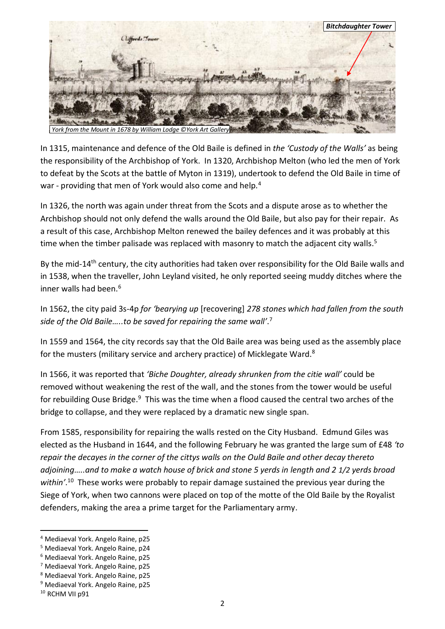

In 1315, maintenance and defence of the Old Baile is defined in *the 'Custody of the Walls'* as being the responsibility of the Archbishop of York. In 1320, Archbishop Melton (who led the men of York to defeat by the Scots at the battle of Myton in 1319), undertook to defend the Old Baile in time of war - providing that men of York would also come and help.<sup>4</sup>

In 1326, the north was again under threat from the Scots and a dispute arose as to whether the Archbishop should not only defend the walls around the Old Baile, but also pay for their repair. As a result of this case, Archbishop Melton renewed the bailey defences and it was probably at this time when the timber palisade was replaced with masonry to match the adjacent city walls.<sup>5</sup>

By the mid-14<sup>th</sup> century, the city authorities had taken over responsibility for the Old Baile walls and in 1538, when the traveller, John Leyland visited, he only reported seeing muddy ditches where the inner walls had been. 6

## In 1562, the city paid 3s-4p *for 'bearying up* [recovering] *278 stones which had fallen from the south side of the Old Baile…..to be saved for repairing the same wall'*. 7

In 1559 and 1564, the city records say that the Old Baile area was being used as the assembly place for the musters (military service and archery practice) of Micklegate Ward.<sup>8</sup>

In 1566, it was reported that *'Biche Doughter, already shrunken from the citie wall'* could be removed without weakening the rest of the wall, and the stones from the tower would be useful for rebuilding Ouse Bridge.<sup>9</sup> This was the time when a flood caused the central two arches of the bridge to collapse, and they were replaced by a dramatic new single span.

From 1585, responsibility for repairing the walls rested on the City Husband. Edmund Giles was elected as the Husband in 1644, and the following February he was granted the large sum of £48 *'to repair the decayes in the corner of the cittys walls on the Ould Baile and other decay thereto adjoining…..and to make a watch house of brick and stone 5 yerds in length and 2 1/2 yerds broad within'*. <sup>10</sup> These works were probably to repair damage sustained the previous year during the Siege of York, when two cannons were placed on top of the motte of the Old Baile by the Royalist defenders, making the area a prime target for the Parliamentary army.

1

<sup>4</sup> Mediaeval York. Angelo Raine, p25

<sup>5</sup> Mediaeval York. Angelo Raine, p24

<sup>6</sup> Mediaeval York. Angelo Raine, p25

<sup>7</sup> Mediaeval York. Angelo Raine, p25

<sup>8</sup> Mediaeval York. Angelo Raine, p25

<sup>9</sup> Mediaeval York. Angelo Raine, p25

<sup>&</sup>lt;sup>10</sup> RCHM VII p91